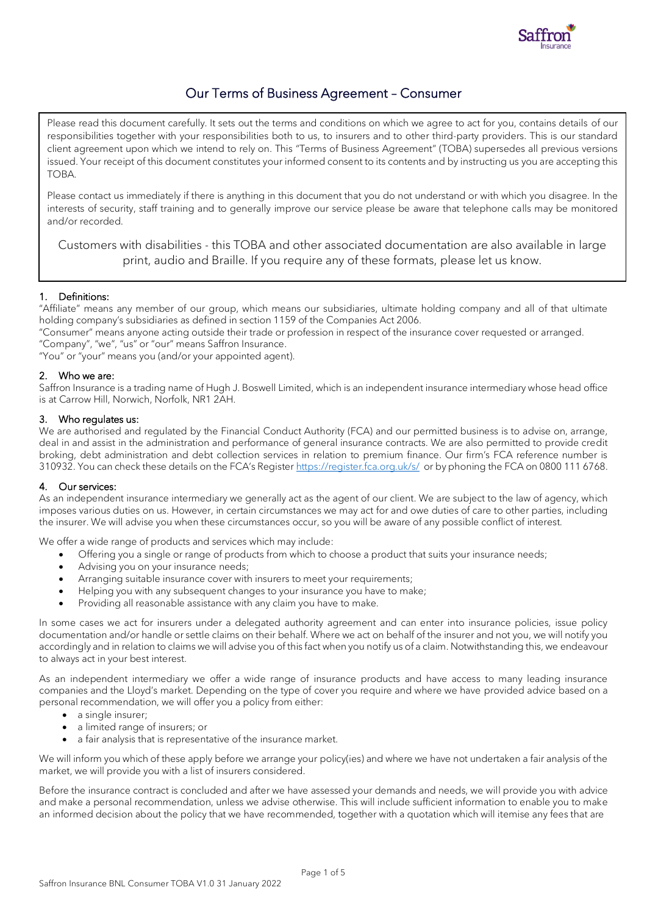

# Our Terms of Business Agreement – Consumer

Please read this document carefully. It sets out the terms and conditions on which we agree to act for you, contains details of our responsibilities together with your responsibilities both to us, to insurers and to other third-party providers. This is our standard client agreement upon which we intend to rely on. This "Terms of Business Agreement" (TOBA) supersedes all previous versions issued. Your receipt of this document constitutes your informed consent to its contents and by instructing us you are accepting this TOBA.

Please contact us immediately if there is anything in this document that you do not understand or with which you disagree. In the interests of security, staff training and to generally improve our service please be aware that telephone calls may be monitored and/or recorded.

Customers with disabilities - this TOBA and other associated documentation are also available in large print, audio and Braille. If you require any of these formats, please let us know.

# 1. Definitions:

"Affiliate" means any member of our group, which means our subsidiaries, ultimate holding company and all of that ultimate holding company's subsidiaries as defined in section 1159 of the Companies Act 2006.

"Consumer" means anyone acting outside their trade or profession in respect of the insurance cover requested or arranged.

"Company", "we", "us" or "our" means Saffron Insurance.

"You" or "your" means you (and/or your appointed agent).

# 2. Who we are:

Saffron Insurance is a trading name of Hugh J. Boswell Limited, which is an independent insurance intermediary whose head office is at Carrow Hill, Norwich, Norfolk, NR1 2AH.

# 3. Who regulates us:

We are authorised and regulated by the Financial Conduct Authority (FCA) and our permitted business is to advise on, arrange, deal in and assist in the administration and performance of general insurance contracts. We are also permitted to provide credit broking, debt administration and debt collection services in relation to premium finance. Our firm's FCA reference number is 310932. You can check these details on the FCA's Register <https://register.fca.org.uk/s/>or by phoning the FCA on 0800 111 6768.

# 4. Our services:

As an independent insurance intermediary we generally act as the agent of our client. We are subject to the law of agency, which imposes various duties on us. However, in certain circumstances we may act for and owe duties of care to other parties, including the insurer. We will advise you when these circumstances occur, so you will be aware of any possible conflict of interest.

We offer a wide range of products and services which may include:

- Offering you a single or range of products from which to choose a product that suits your insurance needs;
- Advising you on your insurance needs;
- Arranging suitable insurance cover with insurers to meet your requirements;
- Helping you with any subsequent changes to your insurance you have to make;
- Providing all reasonable assistance with any claim you have to make.

In some cases we act for insurers under a delegated authority agreement and can enter into insurance policies, issue policy documentation and/or handle or settle claims on their behalf. Where we act on behalf of the insurer and not you, we will notify you accordingly and in relation to claims we will advise you of this fact when you notify us of a claim. Notwithstanding this, we endeavour to always act in your best interest.

As an independent intermediary we offer a wide range of insurance products and have access to many leading insurance companies and the Lloyd's market. Depending on the type of cover you require and where we have provided advice based on a personal recommendation, we will offer you a policy from either:

- a single insurer;
- a limited range of insurers; or
- a fair analysis that is representative of the insurance market.

We will inform you which of these apply before we arrange your policy(ies) and where we have not undertaken a fair analysis of the market, we will provide you with a list of insurers considered.

Before the insurance contract is concluded and after we have assessed your demands and needs, we will provide you with advice and make a personal recommendation, unless we advise otherwise. This will include sufficient information to enable you to make an informed decision about the policy that we have recommended, together with a quotation which will itemise any fees that are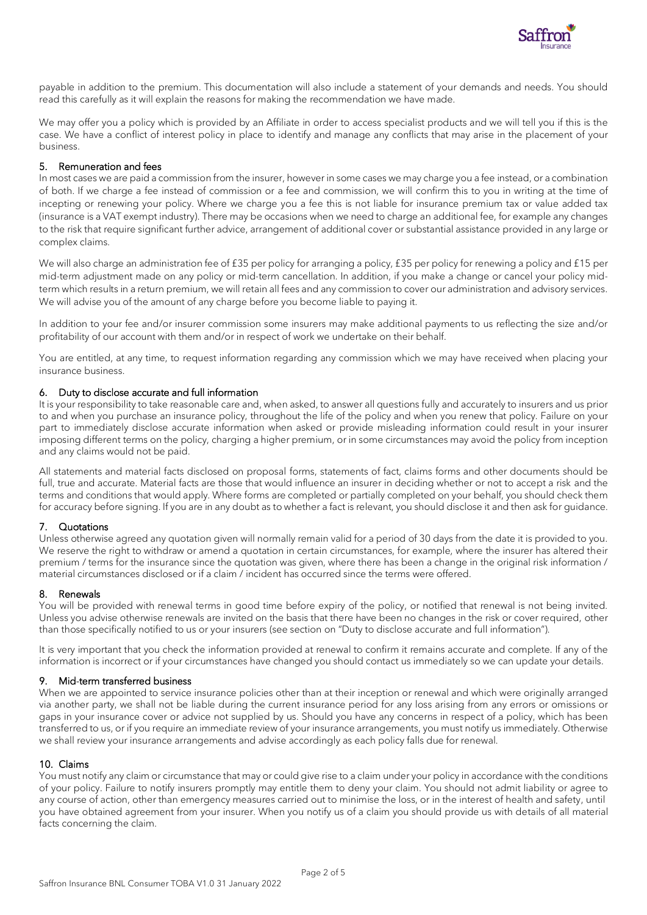

payable in addition to the premium. This documentation will also include a statement of your demands and needs. You should read this carefully as it will explain the reasons for making the recommendation we have made.

We may offer you a policy which is provided by an Affiliate in order to access specialist products and we will tell you if this is the case. We have a conflict of interest policy in place to identify and manage any conflicts that may arise in the placement of your business.

# 5. Remuneration and fees

In most cases we are paid a commission from the insurer, however in some cases we may charge you a fee instead, or a combination of both. If we charge a fee instead of commission or a fee and commission, we will confirm this to you in writing at the time of incepting or renewing your policy. Where we charge you a fee this is not liable for insurance premium tax or value added tax (insurance is a VAT exempt industry). There may be occasions when we need to charge an additional fee, for example any changes to the risk that require significant further advice, arrangement of additional cover or substantial assistance provided in any large or complex claims.

We will also charge an administration fee of £35 per policy for arranging a policy, £35 per policy for renewing a policy and £15 per mid-term adjustment made on any policy or mid-term cancellation. In addition, if you make a change or cancel your policy midterm which results in a return premium, we will retain all fees and any commission to cover our administration and advisory services. We will advise you of the amount of any charge before you become liable to paying it.

In addition to your fee and/or insurer commission some insurers may make additional payments to us reflecting the size and/or profitability of our account with them and/or in respect of work we undertake on their behalf.

You are entitled, at any time, to request information regarding any commission which we may have received when placing your insurance business.

# 6. Duty to disclose accurate and full information

It is your responsibility to take reasonable care and, when asked, to answer all questions fully and accurately to insurers and us prior to and when you purchase an insurance policy, throughout the life of the policy and when you renew that policy. Failure on your part to immediately disclose accurate information when asked or provide misleading information could result in your insurer imposing different terms on the policy, charging a higher premium, or in some circumstances may avoid the policy from inception and any claims would not be paid.

All statements and material facts disclosed on proposal forms, statements of fact, claims forms and other documents should be full, true and accurate. Material facts are those that would influence an insurer in deciding whether or not to accept a risk and the terms and conditions that would apply. Where forms are completed or partially completed on your behalf, you should check them for accuracy before signing. If you are in any doubt as to whether a fact is relevant, you should disclose it and then ask for guidance.

# 7. Quotations

Unless otherwise agreed any quotation given will normally remain valid for a period of 30 days from the date it is provided to you. We reserve the right to withdraw or amend a quotation in certain circumstances, for example, where the insurer has altered their premium / terms for the insurance since the quotation was given, where there has been a change in the original risk information / material circumstances disclosed or if a claim / incident has occurred since the terms were offered.

#### 8. Renewals

You will be provided with renewal terms in good time before expiry of the policy, or notified that renewal is not being invited. Unless you advise otherwise renewals are invited on the basis that there have been no changes in the risk or cover required, other than those specifically notified to us or your insurers (see section on "Duty to disclose accurate and full information").

It is very important that you check the information provided at renewal to confirm it remains accurate and complete. If any of the information is incorrect or if your circumstances have changed you should contact us immediately so we can update your details.

#### 9. Mid-term transferred business

When we are appointed to service insurance policies other than at their inception or renewal and which were originally arranged via another party, we shall not be liable during the current insurance period for any loss arising from any errors or omissions or gaps in your insurance cover or advice not supplied by us. Should you have any concerns in respect of a policy, which has been transferred to us, or if you require an immediate review of your insurance arrangements, you must notify us immediately. Otherwise we shall review your insurance arrangements and advise accordingly as each policy falls due for renewal.

# 10. Claims

You must notify any claim or circumstance that may or could give rise to a claim under your policy in accordance with the conditions of your policy. Failure to notify insurers promptly may entitle them to deny your claim. You should not admit liability or agree to any course of action, other than emergency measures carried out to minimise the loss, or in the interest of health and safety, until you have obtained agreement from your insurer. When you notify us of a claim you should provide us with details of all material facts concerning the claim.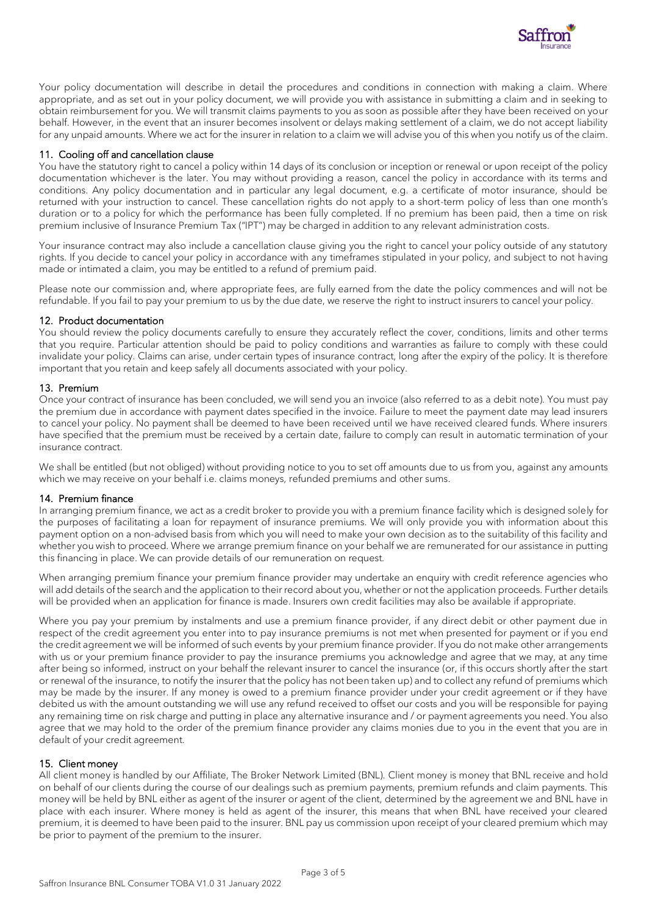

Your policy documentation will describe in detail the procedures and conditions in connection with making a claim. Where appropriate, and as set out in your policy document, we will provide you with assistance in submitting a claim and in seeking to obtain reimbursement for you. We will transmit claims payments to you as soon as possible after they have been received on your behalf. However, in the event that an insurer becomes insolvent or delays making settlement of a claim, we do not accept liability for any unpaid amounts. Where we act for the insurer in relation to a claim we will advise you of this when you notify us of the claim.

# 11. Cooling off and cancellation clause

You have the statutory right to cancel a policy within 14 days of its conclusion or inception or renewal or upon receipt of the policy documentation whichever is the later. You may without providing a reason, cancel the policy in accordance with its terms and conditions. Any policy documentation and in particular any legal document, e.g. a certificate of motor insurance, should be returned with your instruction to cancel. These cancellation rights do not apply to a short-term policy of less than one month's duration or to a policy for which the performance has been fully completed. If no premium has been paid, then a time on risk premium inclusive of Insurance Premium Tax ("IPT") may be charged in addition to any relevant administration costs.

Your insurance contract may also include a cancellation clause giving you the right to cancel your policy outside of any statutory rights. If you decide to cancel your policy in accordance with any timeframes stipulated in your policy, and subject to not having made or intimated a claim, you may be entitled to a refund of premium paid.

Please note our commission and, where appropriate fees, are fully earned from the date the policy commences and will not be refundable. If you fail to pay your premium to us by the due date, we reserve the right to instruct insurers to cancel your policy.

# 12. Product documentation

You should review the policy documents carefully to ensure they accurately reflect the cover, conditions, limits and other terms that you require. Particular attention should be paid to policy conditions and warranties as failure to comply with these could invalidate your policy. Claims can arise, under certain types of insurance contract, long after the expiry of the policy. It is therefore important that you retain and keep safely all documents associated with your policy.

# 13. Premium

Once your contract of insurance has been concluded, we will send you an invoice (also referred to as a debit note). You must pay the premium due in accordance with payment dates specified in the invoice. Failure to meet the payment date may lead insurers to cancel your policy. No payment shall be deemed to have been received until we have received cleared funds. Where insurers have specified that the premium must be received by a certain date, failure to comply can result in automatic termination of your insurance contract.

We shall be entitled (but not obliged) without providing notice to you to set off amounts due to us from you, against any amounts which we may receive on your behalf i.e. claims moneys, refunded premiums and other sums.

# 14. Premium finance

In arranging premium finance, we act as a credit broker to provide you with a premium finance facility which is designed solely for the purposes of facilitating a loan for repayment of insurance premiums. We will only provide you with information about this payment option on a non-advised basis from which you will need to make your own decision as to the suitability of this facility and whether you wish to proceed. Where we arrange premium finance on your behalf we are remunerated for our assistance in putting this financing in place. We can provide details of our remuneration on request.

When arranging premium finance your premium finance provider may undertake an enquiry with credit reference agencies who will add details of the search and the application to their record about you, whether or not the application proceeds. Further details will be provided when an application for finance is made. Insurers own credit facilities may also be available if appropriate.

Where you pay your premium by instalments and use a premium finance provider, if any direct debit or other payment due in respect of the credit agreement you enter into to pay insurance premiums is not met when presented for payment or if you end the credit agreement we will be informed of such events by your premium finance provider. If you do not make other arrangements with us or your premium finance provider to pay the insurance premiums you acknowledge and agree that we may, at any time after being so informed, instruct on your behalf the relevant insurer to cancel the insurance (or, if this occurs shortly after the start or renewal of the insurance, to notify the insurer that the policy has not been taken up) and to collect any refund of premiums which may be made by the insurer. If any money is owed to a premium finance provider under your credit agreement or if they have debited us with the amount outstanding we will use any refund received to offset our costs and you will be responsible for paying any remaining time on risk charge and putting in place any alternative insurance and / or payment agreements you need. You also agree that we may hold to the order of the premium finance provider any claims monies due to you in the event that you are in default of your credit agreement.

# 15. Client money

All client money is handled by our Affiliate, The Broker Network Limited (BNL). Client money is money that BNL receive and hold on behalf of our clients during the course of our dealings such as premium payments, premium refunds and claim payments. This money will be held by BNL either as agent of the insurer or agent of the client, determined by the agreement we and BNL have in place with each insurer. Where money is held as agent of the insurer, this means that when BNL have received your cleared premium, it is deemed to have been paid to the insurer. BNL pay us commission upon receipt of your cleared premium which may be prior to payment of the premium to the insurer.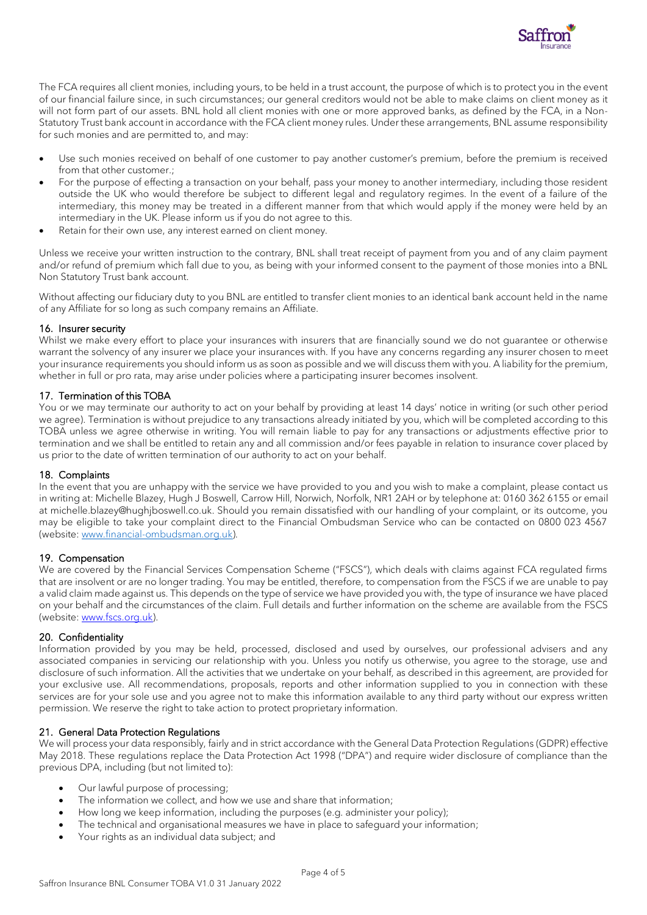

The FCA requires all client monies, including yours, to be held in a trust account, the purpose of which is to protect you in the event of our financial failure since, in such circumstances; our general creditors would not be able to make claims on client money as it will not form part of our assets. BNL hold all client monies with one or more approved banks, as defined by the FCA, in a Non-Statutory Trust bank account in accordance with the FCA client money rules. Under these arrangements, BNL assume responsibility for such monies and are permitted to, and may:

- Use such monies received on behalf of one customer to pay another customer's premium, before the premium is received from that other customer.;
- For the purpose of effecting a transaction on your behalf, pass your money to another intermediary, including those resident outside the UK who would therefore be subject to different legal and regulatory regimes. In the event of a failure of the intermediary, this money may be treated in a different manner from that which would apply if the money were held by an intermediary in the UK. Please inform us if you do not agree to this.
- Retain for their own use, any interest earned on client money.

Unless we receive your written instruction to the contrary, BNL shall treat receipt of payment from you and of any claim payment and/or refund of premium which fall due to you, as being with your informed consent to the payment of those monies into a BNL Non Statutory Trust bank account.

Without affecting our fiduciary duty to you BNL are entitled to transfer client monies to an identical bank account held in the name of any Affiliate for so long as such company remains an Affiliate.

# 16. Insurer security

Whilst we make every effort to place your insurances with insurers that are financially sound we do not quarantee or otherwise warrant the solvency of any insurer we place your insurances with. If you have any concerns regarding any insurer chosen to meet your insurance requirements you should inform us as soon as possible and we will discuss them with you. A liability for the premium, whether in full or pro rata, may arise under policies where a participating insurer becomes insolvent.

# 17. Termination of this TOBA

You or we may terminate our authority to act on your behalf by providing at least 14 days' notice in writing (or such other period we agree). Termination is without prejudice to any transactions already initiated by you, which will be completed according to this TOBA unless we agree otherwise in writing. You will remain liable to pay for any transactions or adjustments effective prior to termination and we shall be entitled to retain any and all commission and/or fees payable in relation to insurance cover placed by us prior to the date of written termination of our authority to act on your behalf.

# 18. Complaints

In the event that you are unhappy with the service we have provided to you and you wish to make a complaint, please contact us in writing at: Michelle Blazey, Hugh J Boswell, Carrow Hill, Norwich, Norfolk, NR1 2AH or by telephone at: 0160 362 6155 or email at michelle.blazey@hughjboswell.co.uk. Should you remain dissatisfied with our handling of your complaint, or its outcome, you may be eligible to take your complaint direct to the Financial Ombudsman Service who can be contacted on 0800 023 4567 (website: [www.financial-ombudsman.org.uk\)](http://www.financial-ombudsman.org.uk/).

# 19. Compensation

We are covered by the Financial Services Compensation Scheme ("FSCS"), which deals with claims against FCA regulated firms that are insolvent or are no longer trading. You may be entitled, therefore, to compensation from the FSCS if we are unable to pay a valid claim made against us. This depends on the type of service we have provided you with, the type of insurance we have placed on your behalf and the circumstances of the claim. Full details and further information on the scheme are available from the FSCS (website: [www.fscs.org.uk\)](http://www.fscs.org.uk/).

# 20. Confidentiality

Information provided by you may be held, processed, disclosed and used by ourselves, our professional advisers and any associated companies in servicing our relationship with you. Unless you notify us otherwise, you agree to the storage, use and disclosure of such information. All the activities that we undertake on your behalf, as described in this agreement, are provided for your exclusive use. All recommendations, proposals, reports and other information supplied to you in connection with these services are for your sole use and you agree not to make this information available to any third party without our express written permission. We reserve the right to take action to protect proprietary information.

# 21. General Data Protection Regulations

We will process your data responsibly, fairly and in strict accordance with the General Data Protection Regulations (GDPR) effective May 2018. These regulations replace the Data Protection Act 1998 ("DPA") and require wider disclosure of compliance than the previous DPA, including (but not limited to):

- Our lawful purpose of processing;
- The information we collect, and how we use and share that information;
- How long we keep information, including the purposes (e.g. administer your policy);
- The technical and organisational measures we have in place to safeguard your information;
- Your rights as an individual data subject; and